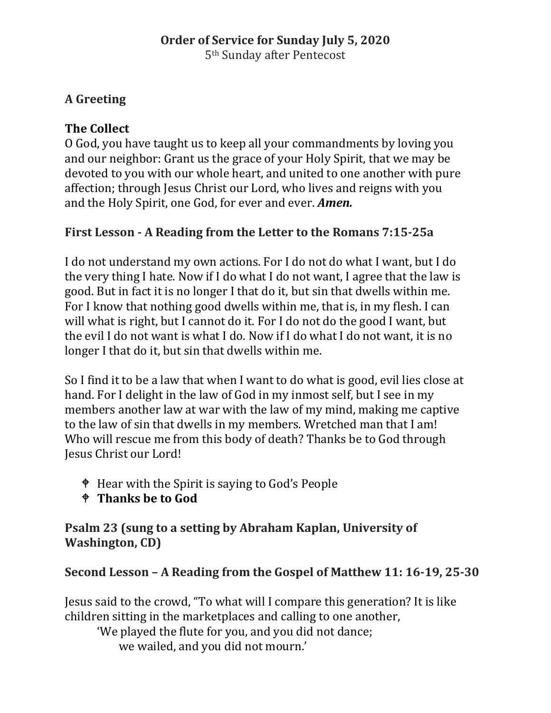# **A Greeting**

# **The Collect**

O God, you have taught us to keep all your commandments by loving you and our neighbor: Grant us the grace of your Holy Spirit, that we may be devoted to you with our whole heart, and united to one another with pure affection; through Jesus Christ our Lord, who lives and reigns with you and the Holy Spirit, one God, for ever and ever. *Amen.*

# **First Lesson - A Reading from the Letter to the Romans 7:15-25a**

I do not understand my own actions. For I do not do what I want, but I do the very thing I hate. Now if I do what I do not want, I agree that the law is good. But in fact it is no longer I that do it, but sin that dwells within me. For I know that nothing good dwells within me, that is, in my flesh. I can will what is right, but I cannot do it. For I do not do the good I want, but the evil I do not want is what I do. Now if I do what I do not want, it is no longer I that do it, but sin that dwells within me.

So I find it to be a law that when I want to do what is good, evil lies close at hand. For I delight in the law of God in my inmost self, but I see in my members another law at war with the law of my mind, making me captive to the law of sin that dwells in my members. Wretched man that I am! Who will rescue me from this body of death? Thanks be to God through Jesus Christ our Lord!

- Hear with the Spirit is saying to God's People
- **Thanks be to God**

### **Psalm 23 (sung to a setting by Abraham Kaplan, University of Washington, CD)**

# **Second Lesson – A Reading from the Gospel of Matthew 11: 16-19, 25-30**

Jesus said to the crowd, "To what will I compare this generation? It is like children sitting in the marketplaces and calling to one another,

'We played the flute for you, and you did not dance; we wailed, and you did not mourn.'